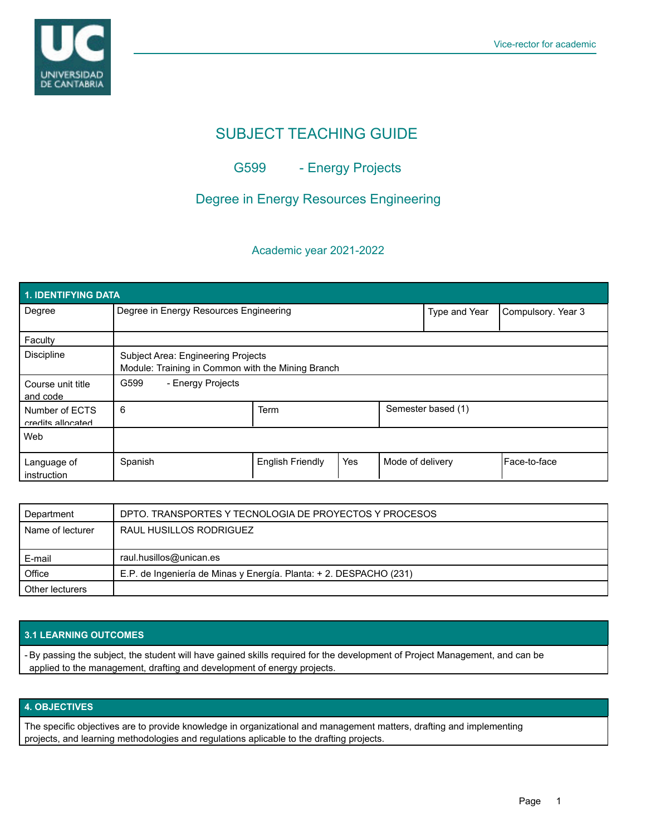

# SUBJECT TEACHING GUIDE

## G599 - Energy Projects

### Degree in Energy Resources Engineering

#### Academic year 2021-2022

| <b>1. IDENTIFYING DATA</b>          |                                                                                         |                         |     |                    |                    |              |  |  |  |
|-------------------------------------|-----------------------------------------------------------------------------------------|-------------------------|-----|--------------------|--------------------|--------------|--|--|--|
| Degree                              | Degree in Energy Resources Engineering                                                  |                         |     | Type and Year      | Compulsory. Year 3 |              |  |  |  |
| Faculty                             |                                                                                         |                         |     |                    |                    |              |  |  |  |
| <b>Discipline</b>                   | Subject Area: Engineering Projects<br>Module: Training in Common with the Mining Branch |                         |     |                    |                    |              |  |  |  |
| Course unit title<br>and code       | G599<br>- Energy Projects                                                               |                         |     |                    |                    |              |  |  |  |
| Number of ECTS<br>credits allocated | 6                                                                                       | Term                    |     | Semester based (1) |                    |              |  |  |  |
| Web                                 |                                                                                         |                         |     |                    |                    |              |  |  |  |
| Language of<br>instruction          | Spanish                                                                                 | <b>English Friendly</b> | Yes | Mode of delivery   |                    | Face-to-face |  |  |  |

| Department       | DPTO. TRANSPORTES Y TECNOLOGIA DE PROYECTOS Y PROCESOS             |
|------------------|--------------------------------------------------------------------|
| Name of lecturer | RAUL HUSILLOS RODRIGUEZ                                            |
|                  |                                                                    |
| E-mail           | raul.husillos@unican.es                                            |
| Office           | E.P. de Ingeniería de Minas y Energía. Planta: + 2. DESPACHO (231) |
| Other lecturers  |                                                                    |

#### **3.1 LEARNING OUTCOMES**

- By passing the subject, the student will have gained skills required for the development of Project Management, and can be applied to the management, drafting and development of energy projects.

#### **4. OBJECTIVES**

The specific objectives are to provide knowledge in organizational and management matters, drafting and implementing projects, and learning methodologies and regulations aplicable to the drafting projects.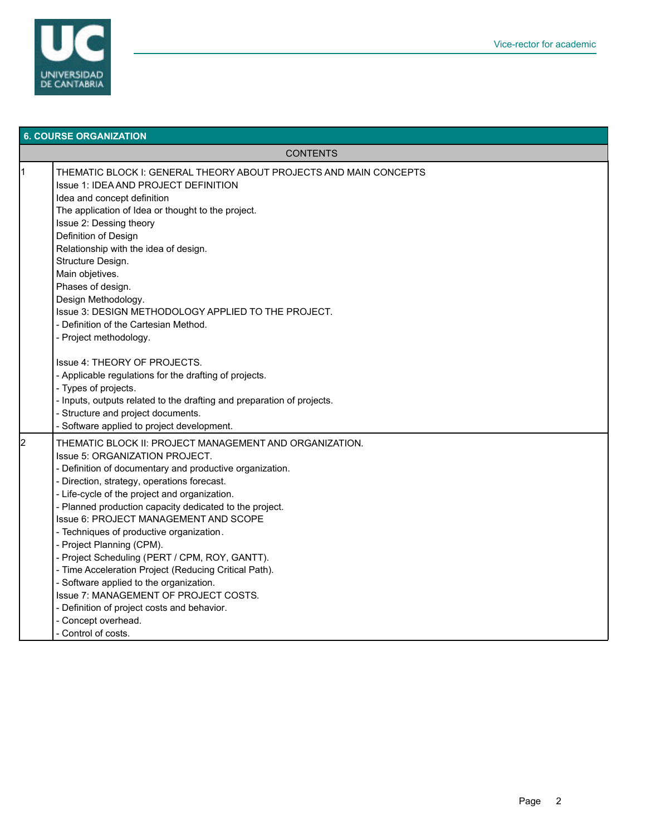

| <b>6. COURSE ORGANIZATION</b> |                                                                                                                                                                                                                                                                                                                                                                                                                                                                                                                                                                                                                                                                                                                                |  |  |  |  |
|-------------------------------|--------------------------------------------------------------------------------------------------------------------------------------------------------------------------------------------------------------------------------------------------------------------------------------------------------------------------------------------------------------------------------------------------------------------------------------------------------------------------------------------------------------------------------------------------------------------------------------------------------------------------------------------------------------------------------------------------------------------------------|--|--|--|--|
| <b>CONTENTS</b>               |                                                                                                                                                                                                                                                                                                                                                                                                                                                                                                                                                                                                                                                                                                                                |  |  |  |  |
| 11                            | THEMATIC BLOCK I: GENERAL THEORY ABOUT PROJECTS AND MAIN CONCEPTS<br>Issue 1: IDEA AND PROJECT DEFINITION<br>Idea and concept definition<br>The application of Idea or thought to the project.<br>Issue 2: Dessing theory<br>Definition of Design<br>Relationship with the idea of design.<br>Structure Design.<br>Main objetives.<br>Phases of design.<br>Design Methodology.<br>Issue 3: DESIGN METHODOLOGY APPLIED TO THE PROJECT.<br>- Definition of the Cartesian Method.<br>- Project methodology.                                                                                                                                                                                                                       |  |  |  |  |
|                               | Issue 4: THEORY OF PROJECTS.<br>- Applicable regulations for the drafting of projects.<br>- Types of projects.<br>- Inputs, outputs related to the drafting and preparation of projects.<br>- Structure and project documents.<br>- Software applied to project development.                                                                                                                                                                                                                                                                                                                                                                                                                                                   |  |  |  |  |
| 2                             | THEMATIC BLOCK II: PROJECT MANAGEMENT AND ORGANIZATION.<br>Issue 5: ORGANIZATION PROJECT.<br>- Definition of documentary and productive organization.<br>- Direction, strategy, operations forecast.<br>- Life-cycle of the project and organization.<br>- Planned production capacity dedicated to the project.<br>Issue 6: PROJECT MANAGEMENT AND SCOPE<br>- Techniques of productive organization.<br>- Project Planning (CPM).<br>- Project Scheduling (PERT / CPM, ROY, GANTT).<br>- Time Acceleration Project (Reducing Critical Path).<br>- Software applied to the organization.<br>Issue 7: MANAGEMENT OF PROJECT COSTS.<br>- Definition of project costs and behavior.<br>- Concept overhead.<br>- Control of costs. |  |  |  |  |